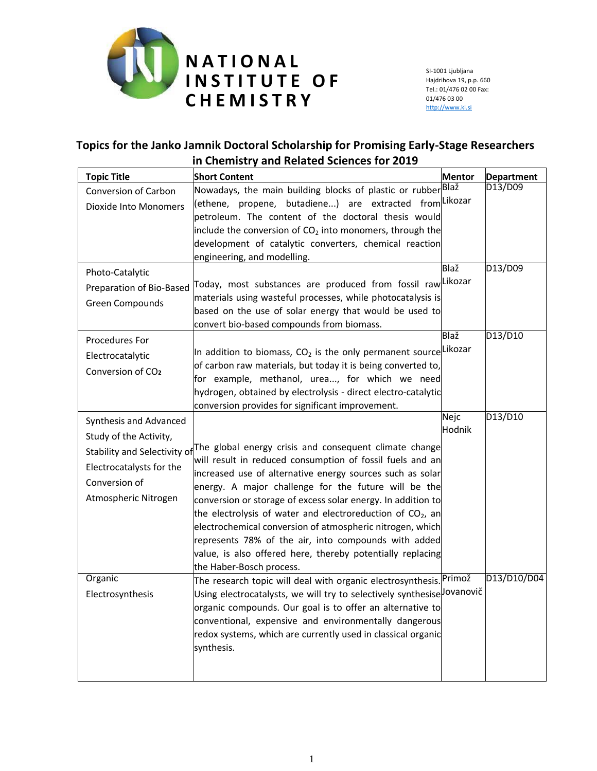

SI-1001 Ljubljana Hajdrihova 19, p.p. 660 Tel.: 01/476 02 00 Fax: 01/476 03 00 [http://www.ki.si](http://www.ki.si/)

## **Topics for the Janko Jamnik Doctoral Scholarship for Promising Early-Stage Researchers in Chemistry and Related Sciences for 2019**

| <b>Topic Title</b>            | <b>Short Content</b>                                                                                                   | <b>Mentor</b>  | Department  |
|-------------------------------|------------------------------------------------------------------------------------------------------------------------|----------------|-------------|
| Conversion of Carbon          | Nowadays, the main building blocks of plastic or rubber <sup> Blaž</sup>                                               |                | D13/D09     |
| <b>Dioxide Into Monomers</b>  | butadiene) are extracted from Likozar<br>(ethene, propene,                                                             |                |             |
|                               | petroleum. The content of the doctoral thesis would                                                                    |                |             |
|                               | include the conversion of $CO2$ into monomers, through the                                                             |                |             |
|                               | development of catalytic converters, chemical reaction                                                                 |                |             |
|                               | engineering, and modelling.                                                                                            |                |             |
| Photo-Catalytic               |                                                                                                                        | Blaž           | D13/D09     |
| Preparation of Bio-Based      | Today, most substances are produced from fossil raw Likozar                                                            |                |             |
| Green Compounds               | materials using wasteful processes, while photocatalysis is                                                            |                |             |
|                               | based on the use of solar energy that would be used to                                                                 |                |             |
|                               | convert bio-based compounds from biomass.                                                                              |                |             |
| Procedures For                |                                                                                                                        | Blaž           | D13/D10     |
| Electrocatalytic              | In addition to biomass, CO <sub>2</sub> is the only permanent source Likozar                                           |                |             |
| Conversion of CO <sub>2</sub> | of carbon raw materials, but today it is being converted to,                                                           |                |             |
|                               | for example, methanol, urea, for which we need                                                                         |                |             |
|                               | hydrogen, obtained by electrolysis - direct electro-catalytic                                                          |                |             |
|                               | conversion provides for significant improvement.                                                                       |                | D13/D10     |
| Synthesis and Advanced        |                                                                                                                        | Nejc<br>Hodnik |             |
| Study of the Activity,        |                                                                                                                        |                |             |
| Stability and Selectivity of  | The global energy crisis and consequent climate change                                                                 |                |             |
| Electrocatalysts for the      | will result in reduced consumption of fossil fuels and an                                                              |                |             |
| Conversion of                 | increased use of alternative energy sources such as solar                                                              |                |             |
| Atmospheric Nitrogen          | energy. A major challenge for the future will be the                                                                   |                |             |
|                               | conversion or storage of excess solar energy. In addition to                                                           |                |             |
|                               | the electrolysis of water and electroreduction of CO2, an<br>electrochemical conversion of atmospheric nitrogen, which |                |             |
|                               | represents 78% of the air, into compounds with added                                                                   |                |             |
|                               | value, is also offered here, thereby potentially replacing                                                             |                |             |
|                               | the Haber-Bosch process.                                                                                               |                |             |
| Organic                       | The research topic will deal with organic electrosynthesis. <sup> Primož</sup>                                         |                | D13/D10/D04 |
| Electrosynthesis              | Using electrocatalysts, we will try to selectively synthesise lovanovič                                                |                |             |
|                               | organic compounds. Our goal is to offer an alternative to                                                              |                |             |
|                               | conventional, expensive and environmentally dangerous                                                                  |                |             |
|                               | redox systems, which are currently used in classical organic                                                           |                |             |
|                               | synthesis.                                                                                                             |                |             |
|                               |                                                                                                                        |                |             |
|                               |                                                                                                                        |                |             |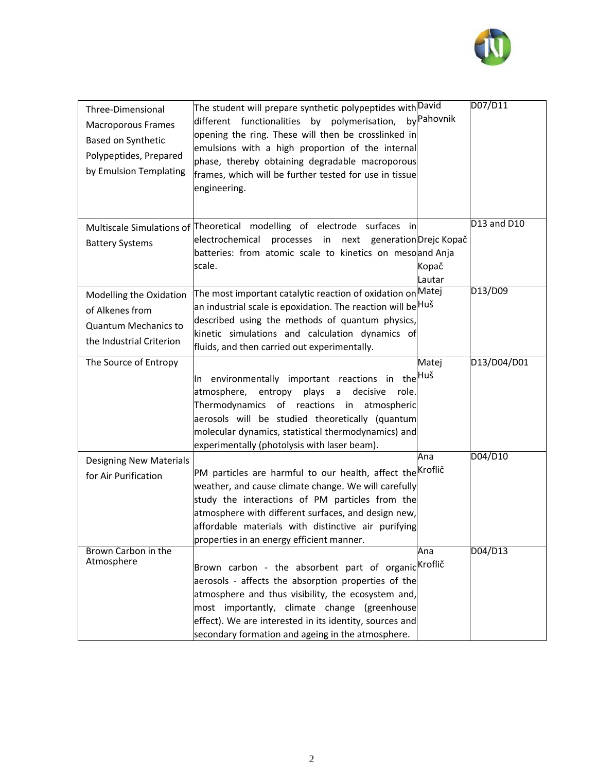

| Three-Dimensional<br><b>Macroporous Frames</b><br>Based on Synthetic<br>Polypeptides, Prepared<br>by Emulsion Templating | The student will prepare synthetic polypeptides with David<br>different functionalities by polymerisation,<br>opening the ring. These will then be crosslinked in<br>emulsions with a high proportion of the internal<br>phase, thereby obtaining degradable macroporous<br>frames, which will be further tested for use in tissue<br>engineering. | by Pahovnik     | D07/D11     |
|--------------------------------------------------------------------------------------------------------------------------|----------------------------------------------------------------------------------------------------------------------------------------------------------------------------------------------------------------------------------------------------------------------------------------------------------------------------------------------------|-----------------|-------------|
| <b>Battery Systems</b>                                                                                                   | Multiscale Simulations of Theoretical modelling of electrode surfaces in<br>electrochemical<br>processes in next<br>generationDrejc Kopač<br>batteries: from atomic scale to kinetics on mesoand Anja<br>scale.                                                                                                                                    | Kopač<br>Lautar | D13 and D10 |
| Modelling the Oxidation<br>of Alkenes from<br><b>Quantum Mechanics to</b><br>the Industrial Criterion                    | The most important catalytic reaction of oxidation on Matej<br>an industrial scale is epoxidation. The reaction will be <sup> Huš</sup><br>described using the methods of quantum physics,<br>kinetic simulations and calculation dynamics of<br>fluids, and then carried out experimentally.                                                      |                 | D13/D09     |
| The Source of Entropy                                                                                                    | In environmentally important reactions in the  <sup> Huš</sup><br>plays<br>decisive<br>role.<br>atmosphere,<br>entropy<br>a<br>Thermodynamics of reactions<br>in atmospheric<br>aerosols will be studied theoretically (quantum<br>molecular dynamics, statistical thermodynamics) and<br>experimentally (photolysis with laser beam).             | Matej           | D13/D04/D01 |
| <b>Designing New Materials</b><br>for Air Purification                                                                   | PM particles are harmful to our health, affect the Kroflič<br>weather, and cause climate change. We will carefully<br>study the interactions of PM particles from the<br>atmosphere with different surfaces, and design new,<br>affordable materials with distinctive air purifying<br>properties in an energy efficient manner.                   | Ana             | D04/D10     |
| Brown Carbon in the<br>Atmosphere                                                                                        | Brown carbon - the absorbent part of organic <i>a</i> Kroflič<br>aerosols - affects the absorption properties of the<br>atmosphere and thus visibility, the ecosystem and,<br>most importantly, climate change (greenhouse<br>effect). We are interested in its identity, sources and<br>secondary formation and ageing in the atmosphere.         | Ana             | D04/D13     |